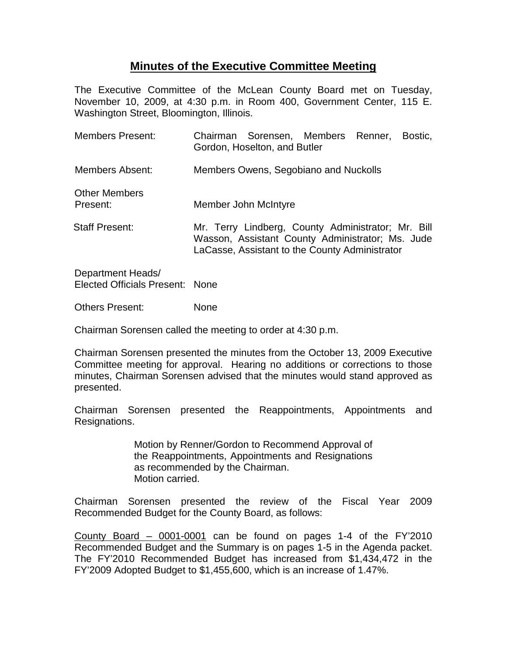## **Minutes of the Executive Committee Meeting**

The Executive Committee of the McLean County Board met on Tuesday, November 10, 2009, at 4:30 p.m. in Room 400, Government Center, 115 E. Washington Street, Bloomington, Illinois.

| Members Present:                 |                                                                                                                                                          | Chairman Sorensen, Members Renner,<br>Gordon, Hoselton, and Butler |  |  | Bostic. |
|----------------------------------|----------------------------------------------------------------------------------------------------------------------------------------------------------|--------------------------------------------------------------------|--|--|---------|
| Members Absent:                  | Members Owens, Segobiano and Nuckolls                                                                                                                    |                                                                    |  |  |         |
| <b>Other Members</b><br>Present: | Member John McIntyre                                                                                                                                     |                                                                    |  |  |         |
| <b>Staff Present:</b>            | Mr. Terry Lindberg, County Administrator; Mr. Bill<br>Wasson, Assistant County Administrator; Ms. Jude<br>LaCasse, Assistant to the County Administrator |                                                                    |  |  |         |
| Department Heads/                |                                                                                                                                                          |                                                                    |  |  |         |

Elected Officials Present: None

Others Present: None

Chairman Sorensen called the meeting to order at 4:30 p.m.

Chairman Sorensen presented the minutes from the October 13, 2009 Executive Committee meeting for approval. Hearing no additions or corrections to those minutes, Chairman Sorensen advised that the minutes would stand approved as presented.

Chairman Sorensen presented the Reappointments, Appointments and Resignations.

> Motion by Renner/Gordon to Recommend Approval of the Reappointments, Appointments and Resignations as recommended by the Chairman. Motion carried.

Chairman Sorensen presented the review of the Fiscal Year 2009 Recommended Budget for the County Board, as follows:

County Board – 0001-0001 can be found on pages 1-4 of the FY'2010 Recommended Budget and the Summary is on pages 1-5 in the Agenda packet. The FY'2010 Recommended Budget has increased from \$1,434,472 in the FY'2009 Adopted Budget to \$1,455,600, which is an increase of 1.47%.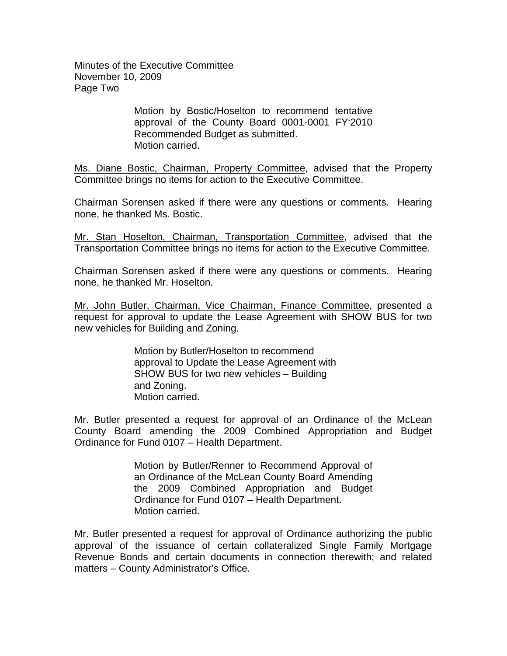Minutes of the Executive Committee November 10, 2009 Page Two

> Motion by Bostic/Hoselton to recommend tentative approval of the County Board 0001-0001 FY'2010 Recommended Budget as submitted. Motion carried.

Ms. Diane Bostic, Chairman, Property Committee, advised that the Property Committee brings no items for action to the Executive Committee.

Chairman Sorensen asked if there were any questions or comments. Hearing none, he thanked Ms. Bostic.

Mr. Stan Hoselton, Chairman, Transportation Committee, advised that the Transportation Committee brings no items for action to the Executive Committee.

Chairman Sorensen asked if there were any questions or comments. Hearing none, he thanked Mr. Hoselton.

Mr. John Butler, Chairman, Vice Chairman, Finance Committee, presented a request for approval to update the Lease Agreement with SHOW BUS for two new vehicles for Building and Zoning.

> Motion by Butler/Hoselton to recommend approval to Update the Lease Agreement with SHOW BUS for two new vehicles – Building and Zoning. Motion carried.

Mr. Butler presented a request for approval of an Ordinance of the McLean County Board amending the 2009 Combined Appropriation and Budget Ordinance for Fund 0107 – Health Department.

> Motion by Butler/Renner to Recommend Approval of an Ordinance of the McLean County Board Amending the 2009 Combined Appropriation and Budget Ordinance for Fund 0107 – Health Department. Motion carried.

Mr. Butler presented a request for approval of Ordinance authorizing the public approval of the issuance of certain collateralized Single Family Mortgage Revenue Bonds and certain documents in connection therewith; and related matters – County Administrator's Office.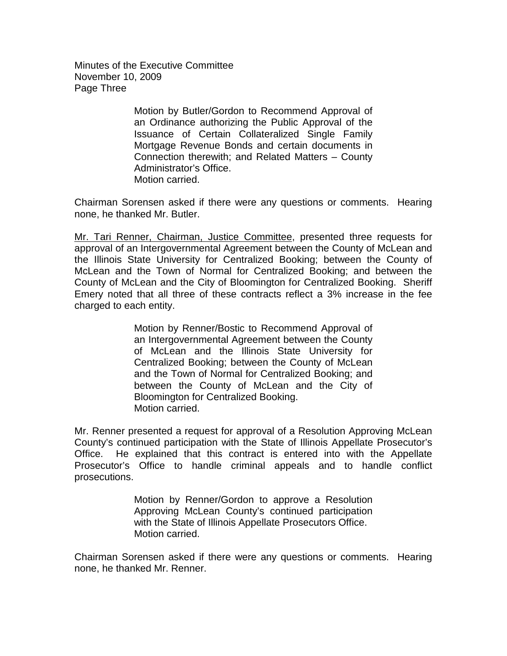Minutes of the Executive Committee November 10, 2009 Page Three

> Motion by Butler/Gordon to Recommend Approval of an Ordinance authorizing the Public Approval of the Issuance of Certain Collateralized Single Family Mortgage Revenue Bonds and certain documents in Connection therewith; and Related Matters – County Administrator's Office. Motion carried.

Chairman Sorensen asked if there were any questions or comments. Hearing none, he thanked Mr. Butler.

Mr. Tari Renner, Chairman, Justice Committee, presented three requests for approval of an Intergovernmental Agreement between the County of McLean and the Illinois State University for Centralized Booking; between the County of McLean and the Town of Normal for Centralized Booking; and between the County of McLean and the City of Bloomington for Centralized Booking. Sheriff Emery noted that all three of these contracts reflect a 3% increase in the fee charged to each entity.

> Motion by Renner/Bostic to Recommend Approval of an Intergovernmental Agreement between the County of McLean and the Illinois State University for Centralized Booking; between the County of McLean and the Town of Normal for Centralized Booking; and between the County of McLean and the City of Bloomington for Centralized Booking. Motion carried.

Mr. Renner presented a request for approval of a Resolution Approving McLean County's continued participation with the State of Illinois Appellate Prosecutor's Office. He explained that this contract is entered into with the Appellate Prosecutor's Office to handle criminal appeals and to handle conflict prosecutions.

> Motion by Renner/Gordon to approve a Resolution Approving McLean County's continued participation with the State of Illinois Appellate Prosecutors Office. Motion carried.

Chairman Sorensen asked if there were any questions or comments. Hearing none, he thanked Mr. Renner.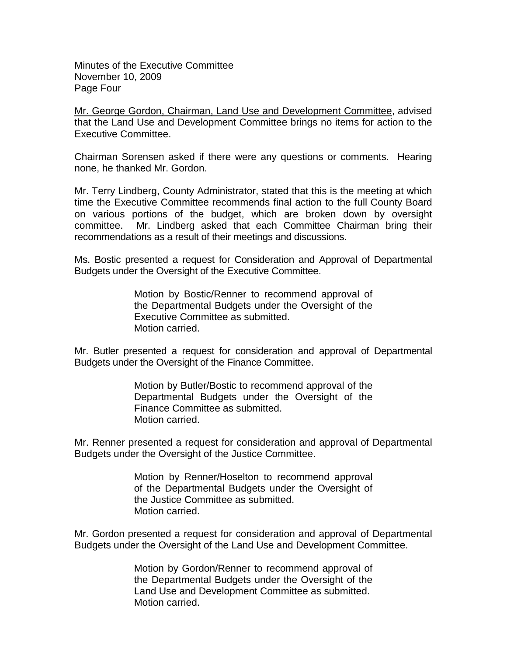Minutes of the Executive Committee November 10, 2009 Page Four

Mr. George Gordon, Chairman, Land Use and Development Committee, advised that the Land Use and Development Committee brings no items for action to the Executive Committee.

Chairman Sorensen asked if there were any questions or comments. Hearing none, he thanked Mr. Gordon.

Mr. Terry Lindberg, County Administrator, stated that this is the meeting at which time the Executive Committee recommends final action to the full County Board on various portions of the budget, which are broken down by oversight committee. Mr. Lindberg asked that each Committee Chairman bring their recommendations as a result of their meetings and discussions.

Ms. Bostic presented a request for Consideration and Approval of Departmental Budgets under the Oversight of the Executive Committee.

> Motion by Bostic/Renner to recommend approval of the Departmental Budgets under the Oversight of the Executive Committee as submitted. Motion carried.

Mr. Butler presented a request for consideration and approval of Departmental Budgets under the Oversight of the Finance Committee.

> Motion by Butler/Bostic to recommend approval of the Departmental Budgets under the Oversight of the Finance Committee as submitted. Motion carried.

Mr. Renner presented a request for consideration and approval of Departmental Budgets under the Oversight of the Justice Committee.

> Motion by Renner/Hoselton to recommend approval of the Departmental Budgets under the Oversight of the Justice Committee as submitted. Motion carried.

Mr. Gordon presented a request for consideration and approval of Departmental Budgets under the Oversight of the Land Use and Development Committee.

> Motion by Gordon/Renner to recommend approval of the Departmental Budgets under the Oversight of the Land Use and Development Committee as submitted. Motion carried.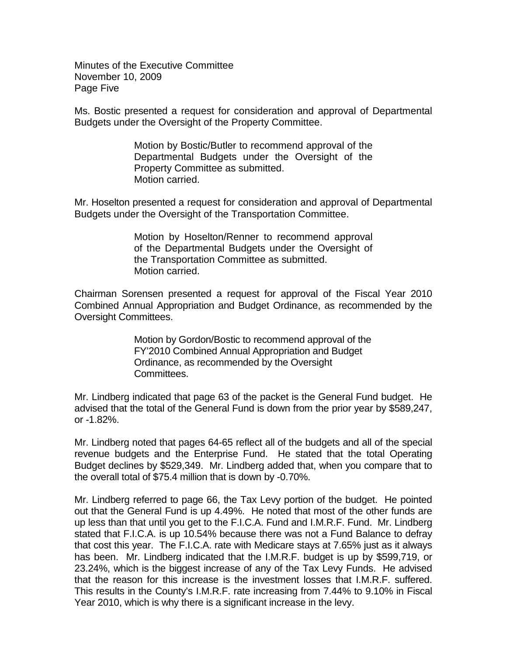Minutes of the Executive Committee November 10, 2009 Page Five

Ms. Bostic presented a request for consideration and approval of Departmental Budgets under the Oversight of the Property Committee.

> Motion by Bostic/Butler to recommend approval of the Departmental Budgets under the Oversight of the Property Committee as submitted. Motion carried.

Mr. Hoselton presented a request for consideration and approval of Departmental Budgets under the Oversight of the Transportation Committee.

> Motion by Hoselton/Renner to recommend approval of the Departmental Budgets under the Oversight of the Transportation Committee as submitted. Motion carried.

Chairman Sorensen presented a request for approval of the Fiscal Year 2010 Combined Annual Appropriation and Budget Ordinance, as recommended by the Oversight Committees.

> Motion by Gordon/Bostic to recommend approval of the FY'2010 Combined Annual Appropriation and Budget Ordinance, as recommended by the Oversight Committees.

Mr. Lindberg indicated that page 63 of the packet is the General Fund budget. He advised that the total of the General Fund is down from the prior year by \$589,247, or -1.82%.

Mr. Lindberg noted that pages 64-65 reflect all of the budgets and all of the special revenue budgets and the Enterprise Fund. He stated that the total Operating Budget declines by \$529,349. Mr. Lindberg added that, when you compare that to the overall total of \$75.4 million that is down by -0.70%.

Mr. Lindberg referred to page 66, the Tax Levy portion of the budget. He pointed out that the General Fund is up 4.49%. He noted that most of the other funds are up less than that until you get to the F.I.C.A. Fund and I.M.R.F. Fund. Mr. Lindberg stated that F.I.C.A. is up 10.54% because there was not a Fund Balance to defray that cost this year. The F.I.C.A. rate with Medicare stays at 7.65% just as it always has been. Mr. Lindberg indicated that the I.M.R.F. budget is up by \$599,719, or 23.24%, which is the biggest increase of any of the Tax Levy Funds. He advised that the reason for this increase is the investment losses that I.M.R.F. suffered. This results in the County's I.M.R.F. rate increasing from 7.44% to 9.10% in Fiscal Year 2010, which is why there is a significant increase in the levy.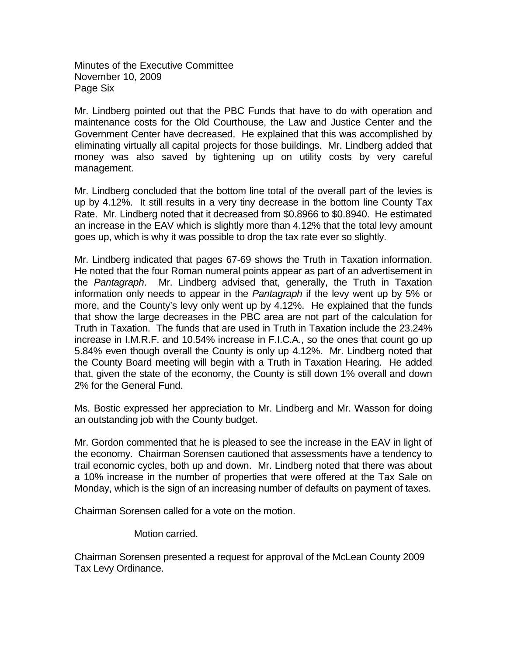Minutes of the Executive Committee November 10, 2009 Page Six

Mr. Lindberg pointed out that the PBC Funds that have to do with operation and maintenance costs for the Old Courthouse, the Law and Justice Center and the Government Center have decreased. He explained that this was accomplished by eliminating virtually all capital projects for those buildings. Mr. Lindberg added that money was also saved by tightening up on utility costs by very careful management.

Mr. Lindberg concluded that the bottom line total of the overall part of the levies is up by 4.12%. It still results in a very tiny decrease in the bottom line County Tax Rate. Mr. Lindberg noted that it decreased from \$0.8966 to \$0.8940. He estimated an increase in the EAV which is slightly more than 4.12% that the total levy amount goes up, which is why it was possible to drop the tax rate ever so slightly.

Mr. Lindberg indicated that pages 67-69 shows the Truth in Taxation information. He noted that the four Roman numeral points appear as part of an advertisement in the *Pantagraph*. Mr. Lindberg advised that, generally, the Truth in Taxation information only needs to appear in the *Pantagraph* if the levy went up by 5% or more, and the County's levy only went up by 4.12%. He explained that the funds that show the large decreases in the PBC area are not part of the calculation for Truth in Taxation. The funds that are used in Truth in Taxation include the 23.24% increase in I.M.R.F. and 10.54% increase in F.I.C.A., so the ones that count go up 5.84% even though overall the County is only up 4.12%. Mr. Lindberg noted that the County Board meeting will begin with a Truth in Taxation Hearing. He added that, given the state of the economy, the County is still down 1% overall and down 2% for the General Fund.

Ms. Bostic expressed her appreciation to Mr. Lindberg and Mr. Wasson for doing an outstanding job with the County budget.

Mr. Gordon commented that he is pleased to see the increase in the EAV in light of the economy. Chairman Sorensen cautioned that assessments have a tendency to trail economic cycles, both up and down. Mr. Lindberg noted that there was about a 10% increase in the number of properties that were offered at the Tax Sale on Monday, which is the sign of an increasing number of defaults on payment of taxes.

Chairman Sorensen called for a vote on the motion.

Motion carried.

Chairman Sorensen presented a request for approval of the McLean County 2009 Tax Levy Ordinance.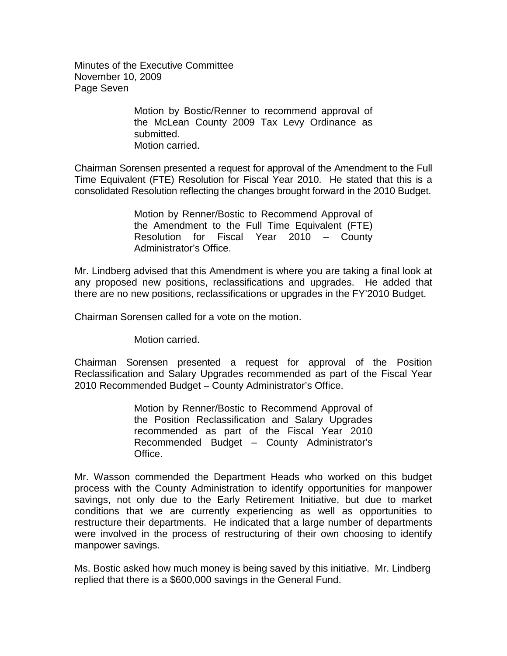Minutes of the Executive Committee November 10, 2009 Page Seven

> Motion by Bostic/Renner to recommend approval of the McLean County 2009 Tax Levy Ordinance as submitted. Motion carried.

Chairman Sorensen presented a request for approval of the Amendment to the Full Time Equivalent (FTE) Resolution for Fiscal Year 2010. He stated that this is a consolidated Resolution reflecting the changes brought forward in the 2010 Budget.

> Motion by Renner/Bostic to Recommend Approval of the Amendment to the Full Time Equivalent (FTE) Resolution for Fiscal Year 2010 – County Administrator's Office.

Mr. Lindberg advised that this Amendment is where you are taking a final look at any proposed new positions, reclassifications and upgrades. He added that there are no new positions, reclassifications or upgrades in the FY'2010 Budget.

Chairman Sorensen called for a vote on the motion.

Motion carried.

Chairman Sorensen presented a request for approval of the Position Reclassification and Salary Upgrades recommended as part of the Fiscal Year 2010 Recommended Budget – County Administrator's Office.

> Motion by Renner/Bostic to Recommend Approval of the Position Reclassification and Salary Upgrades recommended as part of the Fiscal Year 2010 Recommended Budget – County Administrator's Office.

Mr. Wasson commended the Department Heads who worked on this budget process with the County Administration to identify opportunities for manpower savings, not only due to the Early Retirement Initiative, but due to market conditions that we are currently experiencing as well as opportunities to restructure their departments. He indicated that a large number of departments were involved in the process of restructuring of their own choosing to identify manpower savings.

Ms. Bostic asked how much money is being saved by this initiative. Mr. Lindberg replied that there is a \$600,000 savings in the General Fund.